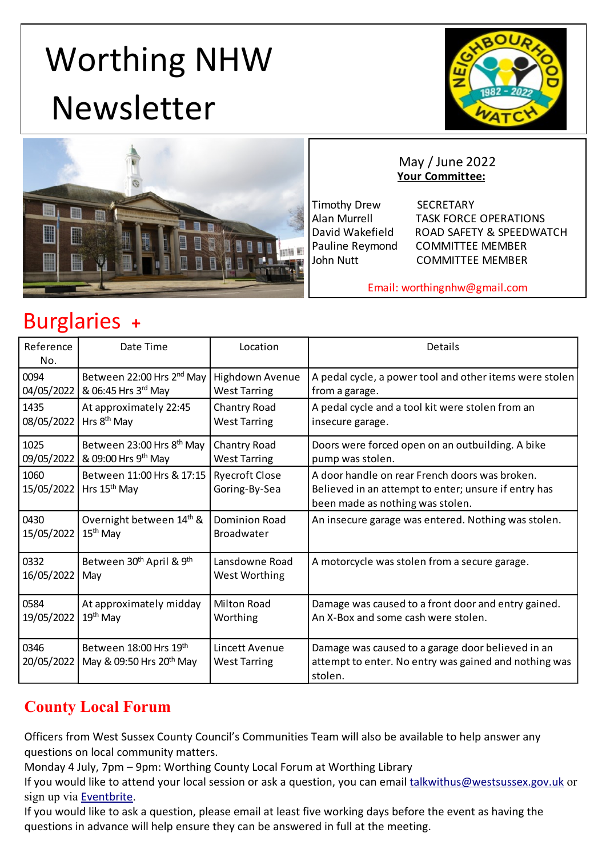# <span id="page-0-0"></span> Worthing NHW Newsletter





#### May / June 2022 **Your Committee:**

Timothy Drew SECRETARY

 Alan Murrell TASK FORCE OPERATIONS David Wakefield ROAD SAFETY & SPEEDWATCH Pauline Reymond COMMITTEE MEMBER John Nutt **COMMITTEE MEMBER** 

Email: worthingnhw@gmail.com

# Burglaries **+**

| Reference<br>No.   | Date Time                                                      | Location                               | Details                                                                                                                                    |
|--------------------|----------------------------------------------------------------|----------------------------------------|--------------------------------------------------------------------------------------------------------------------------------------------|
| 0094               | Between 22:00 Hrs 2 <sup>nd</sup> May                          | Highdown Avenue                        | A pedal cycle, a power tool and other items were stolen                                                                                    |
| 04/05/2022         | & 06:45 Hrs 3rd May                                            | <b>West Tarring</b>                    | from a garage.                                                                                                                             |
| 1435               | At approximately 22:45                                         | Chantry Road                           | A pedal cycle and a tool kit were stolen from an                                                                                           |
| 08/05/2022         | Hrs 8 <sup>th</sup> May                                        | <b>West Tarring</b>                    | insecure garage.                                                                                                                           |
| 1025               | Between 23:00 Hrs 8 <sup>th</sup> May                          | Chantry Road                           | Doors were forced open on an outbuilding. A bike                                                                                           |
| 09/05/2022         | & 09:00 Hrs 9 <sup>th</sup> May                                | <b>West Tarring</b>                    | pump was stolen.                                                                                                                           |
| 1060<br>15/05/2022 | Between 11:00 Hrs & 17:15<br>Hrs 15 <sup>th</sup> May          | <b>Ryecroft Close</b><br>Goring-By-Sea | A door handle on rear French doors was broken.<br>Believed in an attempt to enter; unsure if entry has<br>been made as nothing was stolen. |
| 0430               | Overnight between 14th &                                       | Dominion Road                          | An insecure garage was entered. Nothing was stolen.                                                                                        |
| 15/05/2022         | $15th$ May                                                     | <b>Broadwater</b>                      |                                                                                                                                            |
| 0332               | Between 30 <sup>th</sup> April & 9 <sup>th</sup>               | Lansdowne Road                         | A motorcycle was stolen from a secure garage.                                                                                              |
| 16/05/2022         | May                                                            | <b>West Worthing</b>                   |                                                                                                                                            |
| 0584               | At approximately midday                                        | <b>Milton Road</b>                     | Damage was caused to a front door and entry gained.                                                                                        |
| 19/05/2022         | $19th$ May                                                     | Worthing                               | An X-Box and some cash were stolen.                                                                                                        |
| 0346<br>20/05/2022 | Between 18:00 Hrs 19th<br>May & 09:50 Hrs 20 <sup>th</sup> May | Lincett Avenue<br><b>West Tarring</b>  | Damage was caused to a garage door believed in an<br>attempt to enter. No entry was gained and nothing was<br>stolen.                      |

## **County Local Forum**

Officers from West Sussex County Council's Communities Team will also be available to help answer any questions on local community matters.

Monday 4 July, 7pm – 9pm: Worthing County Local Forum at Worthing Library

If you would like to attend your local session or ask a question, you can email talkwithus@westsussex.gov.uk or sign up via Eventbrite.

If you would like to ask a question, please email at least five working days before the event as having the questions in advance will help ensure they can be answered in full at the meeting.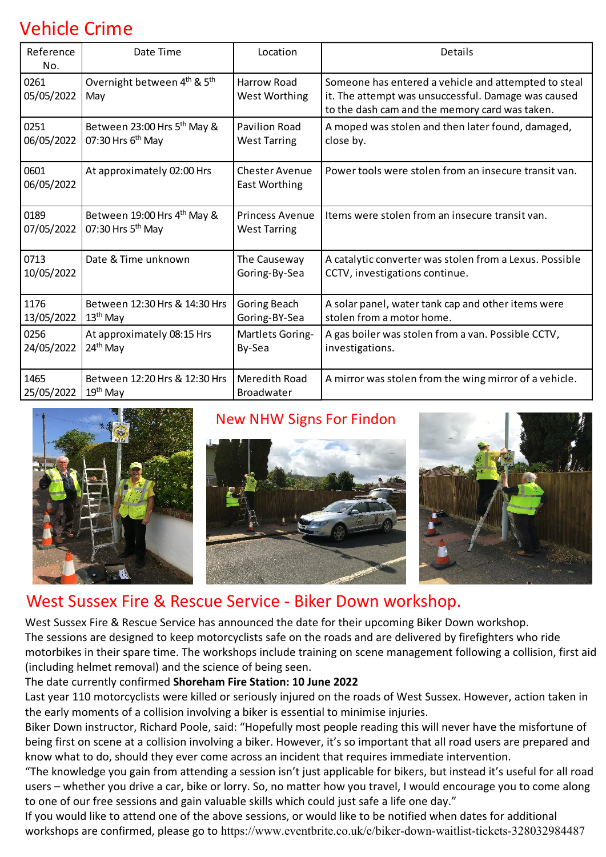# Vehicle Crime

| Reference<br>No.   | Date Time                                                  | Location                               | Details                                                                                                                                                       |
|--------------------|------------------------------------------------------------|----------------------------------------|---------------------------------------------------------------------------------------------------------------------------------------------------------------|
| 0261<br>05/05/2022 | Overnight between 4 <sup>th</sup> & 5 <sup>th</sup><br>May | Harrow Road<br><b>West Worthing</b>    | Someone has entered a vehicle and attempted to steal<br>it. The attempt was unsuccessful. Damage was caused<br>to the dash cam and the memory card was taken. |
| 0251               | Between 23:00 Hrs 5 <sup>th</sup> May &                    | <b>Pavilion Road</b>                   | A moped was stolen and then later found, damaged,                                                                                                             |
| 06/05/2022         | 07:30 Hrs 6 <sup>th</sup> May                              | <b>West Tarring</b>                    | close by.                                                                                                                                                     |
| 0601<br>06/05/2022 | At approximately 02:00 Hrs                                 | <b>Chester Avenue</b><br>East Worthing | Power tools were stolen from an insecure transit van.                                                                                                         |
| 0189               | Between 19:00 Hrs 4 <sup>th</sup> May &                    | <b>Princess Avenue</b>                 | Items were stolen from an insecure transit van.                                                                                                               |
| 07/05/2022         | 07:30 Hrs 5 <sup>th</sup> May                              | <b>West Tarring</b>                    |                                                                                                                                                               |
| 0713               | Date & Time unknown                                        | The Causeway                           | A catalytic converter was stolen from a Lexus. Possible                                                                                                       |
| 10/05/2022         |                                                            | Goring-By-Sea                          | CCTV, investigations continue.                                                                                                                                |
| 1176               | Between 12:30 Hrs & 14:30 Hrs                              | Goring Beach                           | A solar panel, water tank cap and other items were                                                                                                            |
| 13/05/2022         | 13 <sup>th</sup> May                                       | Goring-BY-Sea                          | stolen from a motor home.                                                                                                                                     |
| 0256               | At approximately 08:15 Hrs                                 | Martlets Goring-                       | A gas boiler was stolen from a van. Possible CCTV,                                                                                                            |
| 24/05/2022         | 24 <sup>th</sup> May                                       | By-Sea                                 | investigations.                                                                                                                                               |
| 1465               | Between 12:20 Hrs & 12:30 Hrs                              | Meredith Road                          | A mirror was stolen from the wing mirror of a vehicle.                                                                                                        |
| 25/05/2022         | 19 <sup>th</sup> May                                       | Broadwater                             |                                                                                                                                                               |



### New NHW Signs For Findon





## West Sussex Fire & Rescue Service - Biker Down workshop.

West Sussex Fire & Rescue Service has announced the date for their upcoming Biker Down workshop. The sessions are designed to keep motorcyclists safe on the roads and are delivered by firefighters who ride motorbikes in their spare time. The workshops include training on scene management following a collision, first aid (including helmet removal) and the science of being seen.

#### The date currently confirmed **Shoreham Fire Station: 10 June 2022**

Last year 110 motorcyclists were killed or seriously injured on the roads of West Sussex. However, action taken in the early moments of a collision involving a biker is essential to minimise injuries.

Biker Down instructor, Richard Poole, said: "Hopefully most people reading this will never have the misfortune of being first on scene at a collision involving a biker. However, it's so important that all road users are prepared and know what to do, should they ever come across an incident that requires immediate intervention.

"The knowledge you gain from attending a session isn't just applicable for bikers, but instead it's useful for all road users – whether you drive a car, bike or lorry. So, no matter how you travel, I would encourage you to come along to one of our free sessions and gain valuable skills which could just safe a life one day."

If you would like to attend one of the above sessions, or would like to be notified when dates for additional workshops are confirmed, please go to https://www.eventbrite.co.uk/e/biker-down-waitlist-tickets-328032984487